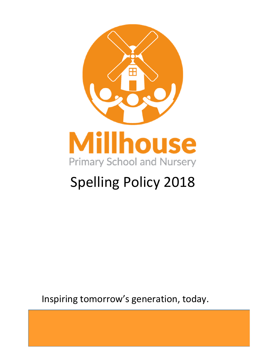

# Spelling Policy 2018

Inspiring tomorrow's generation, today.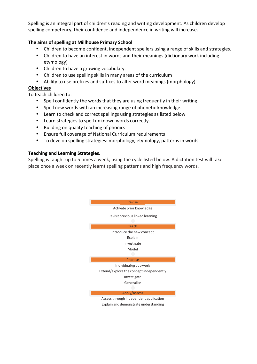Spelling is an integral part of children's reading and writing development. As children develop spelling competency, their confidence and independence in writing will increase.

## **The aims of spelling at Millhouse Primary School**

- Children to become confident, independent spellers using a range of skills and strategies.
- Children to have an interest in words and their meanings (dictionary work including etymology)
- Children to have a growing vocabulary.
- Children to use spelling skills in many areas of the curriculum
- Ability to use prefixes and suffixes to alter word meanings (morphology)

### **Objectives**

To teach children to:

- Spell confidently the words that they are using frequently in their writing
- Spell new words with an increasing range of phonetic knowledge.
- Learn to check and correct spellings using strategies as listed below
- Learn strategies to spell unknown words correctly.
- Building on quality teaching of phonics
- Ensure full coverage of National Curriculum requirements
- To develop spelling strategies: morphology, etymology, patterns in words

### **Teaching and Learning Strategies.**

Spelling is taught up to 5 times a week, using the cycle listed below. A dictation test will take place once a week on recently learnt spelling patterns and high frequency words.

> Activate prior knowledge Revisit previous linked learning **Teach** Introduce the new concept Explain Investigate Model Practise Individual/groupwork

Revise

Extend/explore the concept independently Investigate Generalise

Apply/Assess

Assessthrough independent application Explain and demonstrate understanding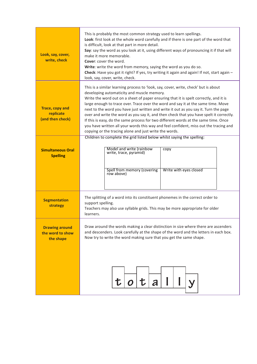| Look, say, cover,<br>write, check                       | This is probably the most common strategy used to learn spellings.<br>Look: first look at the whole word carefully and if there is one part of the word that<br>is difficult, look at that part in more detail.<br>Say: say the word as you look at it, using different ways of pronouncing it if that will<br>make it more memorable.<br><b>Cover:</b> cover the word.<br>Write: write the word from memory, saying the word as you do so.<br>Check: Have you got it right? If yes, try writing it again and again! If not, start again -<br>look, say, cover, write, check.                                                                                                                                                                |
|---------------------------------------------------------|----------------------------------------------------------------------------------------------------------------------------------------------------------------------------------------------------------------------------------------------------------------------------------------------------------------------------------------------------------------------------------------------------------------------------------------------------------------------------------------------------------------------------------------------------------------------------------------------------------------------------------------------------------------------------------------------------------------------------------------------|
| <b>Trace, copy and</b><br>replicate<br>(and then check) | This is a similar learning process to 'look, say, cover, write, check' but is about<br>developing automaticity and muscle memory.<br>Write the word out on a sheet of paper ensuring that it is spelt correctly, and it is<br>large enough to trace over. Trace over the word and say it at the same time. Move<br>next to the word you have just written and write it out as you say it. Turn the page<br>over and write the word as you say it, and then check that you have spelt it correctly.<br>If this is easy, do the same process for two different words at the same time. Once<br>you have written all your words this way and feel confident, miss out the tracing and<br>copying or the tracing alone and just write the words. |
| <b>Simultaneous Oral</b><br><b>Spelling</b>             | Children to complete the grid listed below whilst saying the spelling:<br>Model and write (rainbow<br>copy<br>write, trace, pyramid)<br>Spell from memory (covering<br>Write with eyes closed<br>row above)                                                                                                                                                                                                                                                                                                                                                                                                                                                                                                                                  |
| <b>Segmentation</b><br>strategy                         | The splitting of a word into its constituent phonemes in the correct order to<br>support spelling.<br>Teachers may also use syllable grids. This may be more appropriate for older<br>learners.                                                                                                                                                                                                                                                                                                                                                                                                                                                                                                                                              |
| <b>Drawing around</b><br>the word to show<br>the shape  | Draw around the words making a clear distinction in size where there are ascenders<br>and descenders. Look carefully at the shape of the word and the letters in each box.<br>Now try to write the word making sure that you get the same shape.                                                                                                                                                                                                                                                                                                                                                                                                                                                                                             |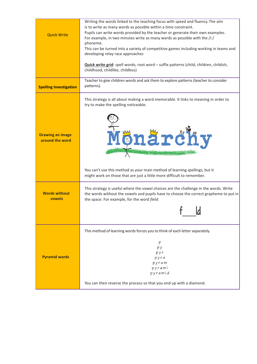|                                            | Writing the words linked to the teaching focus with speed and fluency. The aim<br>is to write as many words as possible within a time constraint. |
|--------------------------------------------|---------------------------------------------------------------------------------------------------------------------------------------------------|
|                                            | Pupils can write words provided by the teacher or generate their own examples.                                                                    |
| <b>Quick Write</b>                         | For example, in two minutes write as many words as possible with the $/$ i:/                                                                      |
|                                            | phoneme.                                                                                                                                          |
|                                            | This can be turned into a variety of competitive games including working in teams and                                                             |
|                                            | developing relay race approaches                                                                                                                  |
|                                            |                                                                                                                                                   |
|                                            | Quick write grid: spell words; root word - suffix patterns (child, children, childish,<br>childhood, childlike, childless)                        |
|                                            |                                                                                                                                                   |
|                                            | Teacher to give children words and ask them to explore patterns (teacher to consider                                                              |
| <b>Spelling Investigation</b>              | patterns).                                                                                                                                        |
|                                            |                                                                                                                                                   |
|                                            | This strategy is all about making a word memorable. It links to meaning in order to                                                               |
|                                            | try to make the spelling noticeable.                                                                                                              |
|                                            |                                                                                                                                                   |
|                                            |                                                                                                                                                   |
|                                            |                                                                                                                                                   |
|                                            |                                                                                                                                                   |
| <b>Drawing an image</b><br>around the word | Mönärdity                                                                                                                                         |
|                                            |                                                                                                                                                   |
|                                            |                                                                                                                                                   |
|                                            |                                                                                                                                                   |
|                                            |                                                                                                                                                   |
|                                            | You can't use this method as your main method of learning spellings, but it                                                                       |
|                                            | might work on those that are just a little more difficult to remember.                                                                            |
|                                            |                                                                                                                                                   |
|                                            | This strategy is useful where the vowel choices are the challenge in the words. Write                                                             |
| <b>Words without</b>                       | the words without the vowels and pupils have to choose the correct grapheme to put in                                                             |
| <b>vowels</b>                              | the space. For example, for the word field:                                                                                                       |
|                                            |                                                                                                                                                   |
|                                            | ıи                                                                                                                                                |
|                                            |                                                                                                                                                   |
|                                            |                                                                                                                                                   |
|                                            | This method of learning words forces you to think of each letter separately.                                                                      |
|                                            |                                                                                                                                                   |
|                                            | р<br>pу                                                                                                                                           |
|                                            | pyr                                                                                                                                               |
| <b>Pyramid words</b>                       | pyra                                                                                                                                              |
|                                            | pyram                                                                                                                                             |
|                                            | pyrami                                                                                                                                            |
|                                            | pyramid                                                                                                                                           |
|                                            | You can then reverse the process so that you end up with a diamond.                                                                               |
|                                            |                                                                                                                                                   |